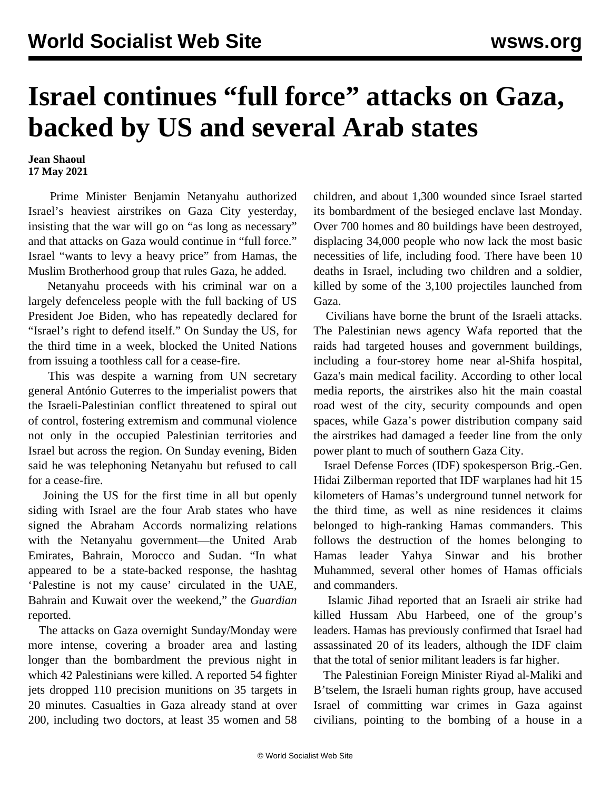## **Israel continues "full force" attacks on Gaza, backed by US and several Arab states**

**Jean Shaoul 17 May 2021**

 Prime Minister Benjamin Netanyahu authorized Israel's heaviest airstrikes on Gaza City yesterday, insisting that the war will go on "as long as necessary" and that attacks on Gaza would continue in "full force." Israel "wants to levy a heavy price" from Hamas, the Muslim Brotherhood group that rules Gaza, he added.

 Netanyahu proceeds with his criminal war on a largely defenceless people with the full backing of US President Joe Biden, who has repeatedly declared for "Israel's right to defend itself." On Sunday the US, for the third time in a week, blocked the United Nations from issuing a toothless call for a cease-fire.

 This was despite a warning from UN secretary general António Guterres to the imperialist powers that the Israeli-Palestinian conflict threatened to spiral out of control, fostering extremism and communal violence not only in the occupied Palestinian territories and Israel but across the region. On Sunday evening, Biden said he was telephoning Netanyahu but refused to call for a cease-fire.

 Joining the US for the first time in all but openly siding with Israel are the four Arab states who have signed the Abraham Accords normalizing relations with the Netanyahu government—the United Arab Emirates, Bahrain, Morocco and Sudan. "In what appeared to be a state-backed response, the hashtag 'Palestine is not my cause' circulated in the UAE, Bahrain and Kuwait over the weekend," the *Guardian* reported.

 The attacks on Gaza overnight Sunday/Monday were more intense, covering a broader area and lasting longer than the bombardment the previous night in which 42 Palestinians were killed. A reported 54 fighter jets dropped 110 precision munitions on 35 targets in 20 minutes. Casualties in Gaza already stand at over 200, including two doctors, at least 35 women and 58 children, and about 1,300 wounded since Israel started its bombardment of the besieged enclave last Monday. Over 700 homes and 80 buildings have been destroyed, displacing 34,000 people who now lack the most basic necessities of life, including food. There have been 10 deaths in Israel, including two children and a soldier, killed by some of the 3,100 projectiles launched from Gaza.

 Civilians have borne the brunt of the Israeli attacks. The Palestinian news agency Wafa reported that the raids had targeted houses and government buildings, including a four-storey home near al-Shifa hospital, Gaza's main medical facility. According to other local media reports, the airstrikes also hit the main coastal road west of the city, security compounds and open spaces, while Gaza's power distribution company said the airstrikes had damaged a feeder line from the only power plant to much of southern Gaza City.

 Israel Defense Forces (IDF) spokesperson Brig.-Gen. Hidai Zilberman reported that IDF warplanes had hit 15 kilometers of Hamas's underground tunnel network for the third time, as well as nine residences it claims belonged to high-ranking Hamas commanders. This follows the destruction of the homes belonging to Hamas leader Yahya Sinwar and his brother Muhammed, several other homes of Hamas officials and commanders.

 Islamic Jihad reported that an Israeli air strike had killed Hussam Abu Harbeed, one of the group's leaders. Hamas has previously confirmed that Israel had assassinated 20 of its leaders, although the IDF claim that the total of senior militant leaders is far higher.

 The Palestinian Foreign Minister Riyad al-Maliki and B'tselem, the Israeli human rights group, have accused Israel of committing war crimes in Gaza against civilians, pointing to the bombing of a house in a